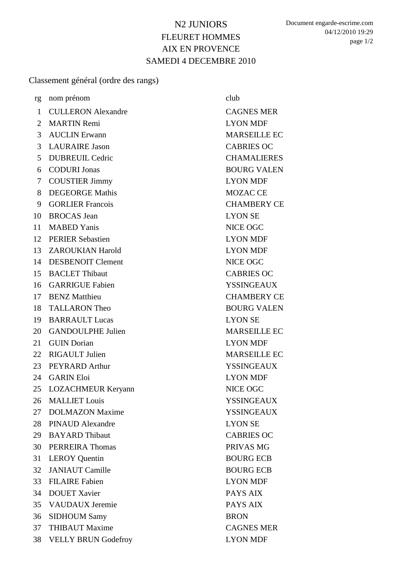## N2 JUNIORS FLEURET HOMMES AIX EN PROVENCE SAMEDI 4 DECEMBRE 2010

Document engarde-escrime.com 04/12/2010 19:29 page 1/2

Classement général (ordre des rangs)

| rg             | nom prénom                 | club                |
|----------------|----------------------------|---------------------|
| $\mathbf{1}$   | <b>CULLERON Alexandre</b>  | <b>CAGNES MER</b>   |
| $\overline{2}$ | <b>MARTIN Remi</b>         | <b>LYON MDF</b>     |
| $\overline{3}$ | <b>AUCLIN</b> Erwann       | <b>MARSEILLE EC</b> |
| 3              | <b>LAURAIRE Jason</b>      | <b>CABRIES OC</b>   |
| 5 <sup>1</sup> | <b>DUBREUIL Cedric</b>     | <b>CHAMALIERES</b>  |
| 6              | <b>CODURI Jonas</b>        | <b>BOURG VALEN</b>  |
| $\tau$         | <b>COUSTIER Jimmy</b>      | <b>LYON MDF</b>     |
| 8              | <b>DEGEORGE Mathis</b>     | <b>MOZAC CE</b>     |
| 9              | <b>GORLIER Francois</b>    | <b>CHAMBERY CE</b>  |
| 10             | <b>BROCAS</b> Jean         | <b>LYON SE</b>      |
| 11             | <b>MABED Yanis</b>         | NICE OGC            |
| 12             | <b>PERIER Sebastien</b>    | <b>LYON MDF</b>     |
|                | 13 ZAROUKIAN Harold        | <b>LYON MDF</b>     |
| 14             | <b>DESBENOIT Clement</b>   | NICE OGC            |
| 15             | <b>BACLET Thibaut</b>      | <b>CABRIES OC</b>   |
| 16             | <b>GARRIGUE Fabien</b>     | <b>YSSINGEAUX</b>   |
| 17             | <b>BENZ</b> Matthieu       | <b>CHAMBERY CE</b>  |
| 18             | <b>TALLARON Theo</b>       | <b>BOURG VALEN</b>  |
| 19             | <b>BARRAULT Lucas</b>      | <b>LYON SE</b>      |
| 20             | <b>GANDOULPHE Julien</b>   | <b>MARSEILLE EC</b> |
| 21             | <b>GUIN</b> Dorian         | <b>LYON MDF</b>     |
| 22             | <b>RIGAULT Julien</b>      | <b>MARSEILLE EC</b> |
| 23             | PEYRARD Arthur             | <b>YSSINGEAUX</b>   |
| 24             | <b>GARIN Eloi</b>          | <b>LYON MDF</b>     |
| 25             | <b>LOZACHMEUR Keryann</b>  | <b>NICE OGC</b>     |
| 26             | <b>MALLIET Louis</b>       | <b>YSSINGEAUX</b>   |
| 27             | <b>DOLMAZON Maxime</b>     | <b>YSSINGEAUX</b>   |
| 28             | <b>PINAUD Alexandre</b>    | <b>LYON SE</b>      |
| 29             | <b>BAYARD</b> Thibaut      | <b>CABRIES OC</b>   |
| 30             | <b>PERREIRA</b> Thomas     | PRIVAS MG           |
| 31             | <b>LEROY</b> Quentin       | <b>BOURG ECB</b>    |
| 32             | <b>JANIAUT</b> Camille     | <b>BOURG ECB</b>    |
| 33             | <b>FILAIRE</b> Fabien      | <b>LYON MDF</b>     |
| 34             | <b>DOUET Xavier</b>        | PAYS AIX            |
| 35             | <b>VAUDAUX</b> Jeremie     | PAYS AIX            |
| 36             | <b>SIDHOUM Samy</b>        | <b>BRON</b>         |
| 37             | <b>THIBAUT Maxime</b>      | <b>CAGNES MER</b>   |
| 38             | <b>VELLY BRUN Godefroy</b> | <b>LYON MDF</b>     |